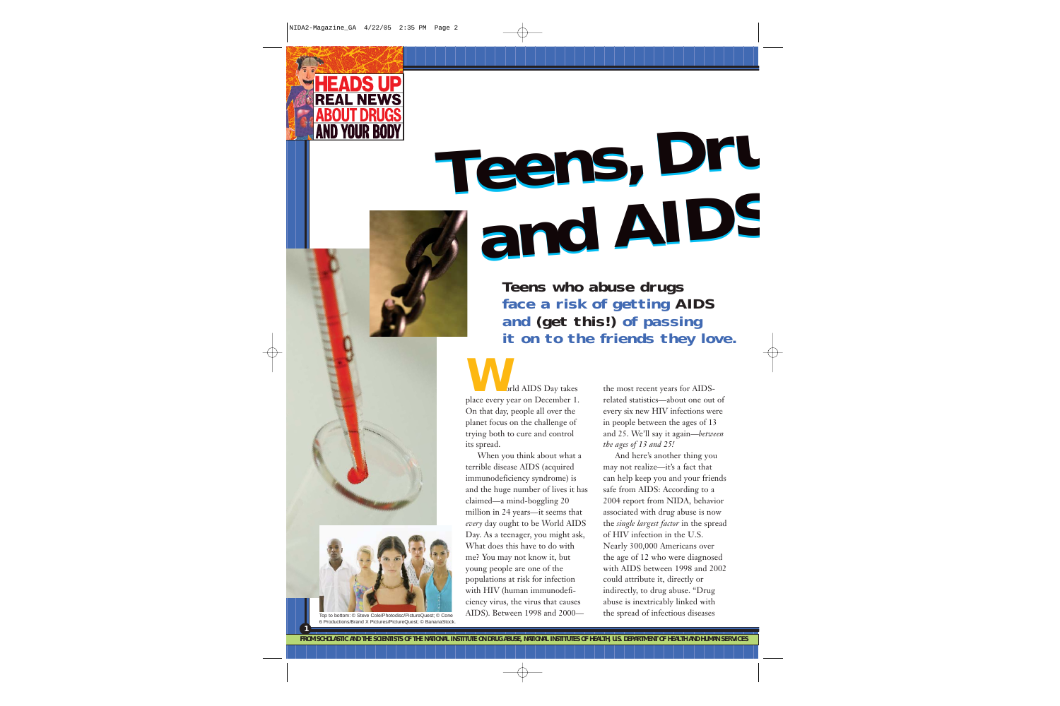

# **Teens, Dru Teens, Dru and AIDS and AIDS**

**Teens who abuse drugs face a risk of getting AIDS and (get this!) of passing it on to the friends they love.**

orld AIDS Day takes place every year on December 1. On that day, people all over the planet focus on the challenge of trying both to cure and control its spread. **W**

When you think about what a terrible disease AIDS (acquired immunodeficiency syndrome) is and the huge number of lives it has claimed—a mind-boggling 20 million in 24 years—it seems that *every* day ought to be World AIDS Day. As a teenager, you might ask, What does this have to do with me? You may not know it, but young people are one of the populations at risk for infection with HIV (human immunodeficiency virus, the virus that causes AIDS). Between 1998 and 2000the most recent years for AIDSrelated statistics—about one out of every six new HIV infections were in people between the ages of 13 and 25. We'll say it again—*between the ages of 13 and 25!*

And here's another thing you may not realize—it's a fact that can help keep you and your friends safe from AIDS: According to a 2004 report from NIDA, behavior associated with drug abuse is now the *single largest factor* in the spread of HIV infection in the U.S. Nearly 300,000 Americans over the age of 12 who were diagnosed with AIDS between 1998 and 2002 could attribute it, directly or indirectly, to drug abuse. "Drug abuse is inextricably linked with the spread of infectious diseases



Top to bottom: © Steve Cole/Photodisc/PictureQuest; © Cone 6 Productions/Brand X Pictures/PictureQuest; © BananaStock.

**1**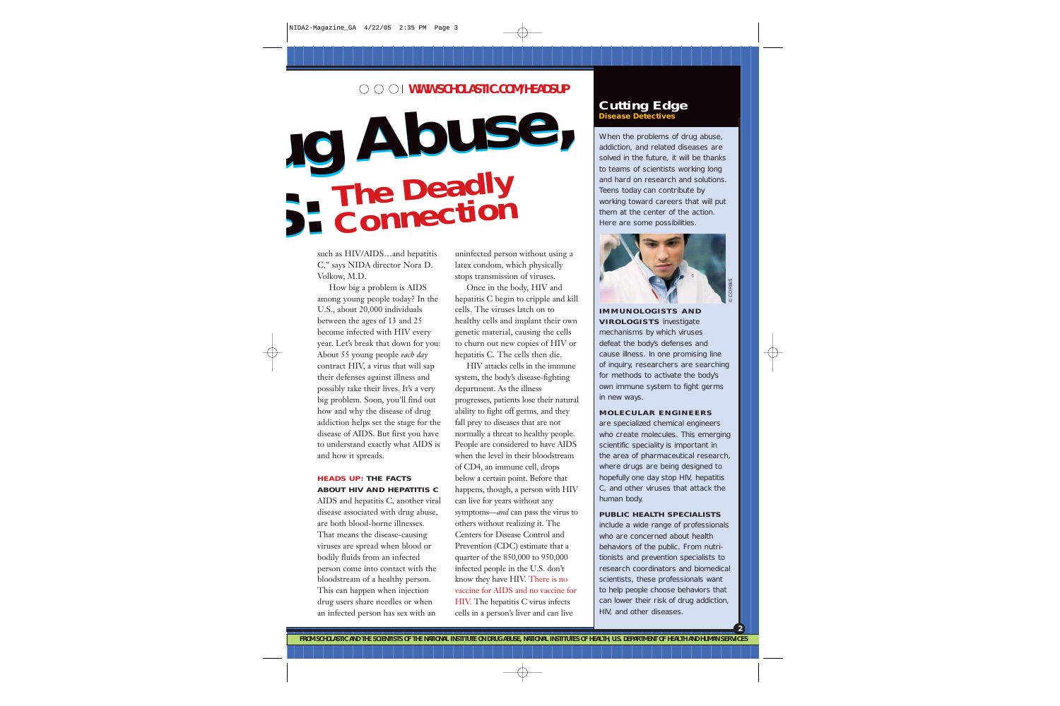### **WWW.SCHOLASTIC.COM/HEADSUP**

## **ug Abuse, S: ug Abuse, S: The Deadly Connection**

such as HIV/AIDS…and hepatitis C," says NIDA director Nora D. Volkow, M.D.

How big a problem is AIDS among young people today? In the U.S., about 20,000 individuals between the ages of 13 and 25 become infected with HIV every year. Let's break that down for you: About 55 young people *each day* contract HIV, a virus that will sap their defenses against illness and possibly take their lives. It's a very big problem. Soon, you'll find out how and why the disease of drug addiction helps set the stage for the disease of AIDS. But first you have to understand exactly what AIDS is and how it spreads.

#### **HEADS UP: THE FACTS ABOUT HIV AND HEPATITIS C**

AIDS and hepatitis C, another viral disease associated with drug abuse, are both blood-borne illnesses. That means the disease-causing viruses are spread when blood or bodily fluids from an infected person come into contact with the bloodstream of a healthy person. This can happen when injection drug users share needles or when an infected person has sex with an

uninfected person without using a latex condom, which physically stops transmission of viruses.

Once in the body, HIV and hepatitis C begin to cripple and kill cells. The viruses latch on to healthy cells and implant their own genetic material, causing the cells to churn out new copies of HIV or hepatitis C. The cells then die.

HIV attacks cells in the immune system, the body's disease-fighting department. As the illness progresses, patients lose their natural ability to fight off germs, and they fall prey to diseases that are not normally a threat to healthy people. People are considered to have AIDS when the level in their bloodstream of CD4, an immune cell, drops below a certain point. Before that happens, though, a person with HIV can live for years without any symptoms—*and* can pass the virus to others without realizing it. The Centers for Disease Control and Prevention (CDC) estimate that a quarter of the 850,000 to 950,000 infected people in the U.S. don't know they have HIV. There is no vaccine for AIDS and no vaccine for HIV. The hepatitis C virus infects cells in a person's liver and can live

#### **Cutting Edge Disease Detectives**

When the problems of drug abuse, addiction, and related diseases are solved in the future, it will be thanks to teams of scientists working long and hard on research and solutions. Teens today can contribute by working toward careers that will put them at the center of the action. Here are some possibilities.



**2**

**IMMUNOLOGISTS AND VIROLOGISTS** investigate mechanisms by which viruses defeat the body's defenses and cause illness. In one promising line of inquiry, researchers are searching for methods to activate the body's own immune system to fight germs in new ways.

#### **MOLECULAR ENGINEERS**

are specialized chemical engineers who create molecules. This emerging scientific speciality is important in the area of pharmaceutical research, where drugs are being designed to hopefully one day stop HIV, hepatitis C, and other viruses that attack the human body.

#### **PUBLIC HEALTH SPECIALISTS**

include a wide range of professionals who are concerned about health behaviors of the public. From nutritionists and prevention specialists to research coordinators and biomedical scientists, these professionals want to help people choose behaviors that can lower their risk of drug addiction, HIV, and other diseases.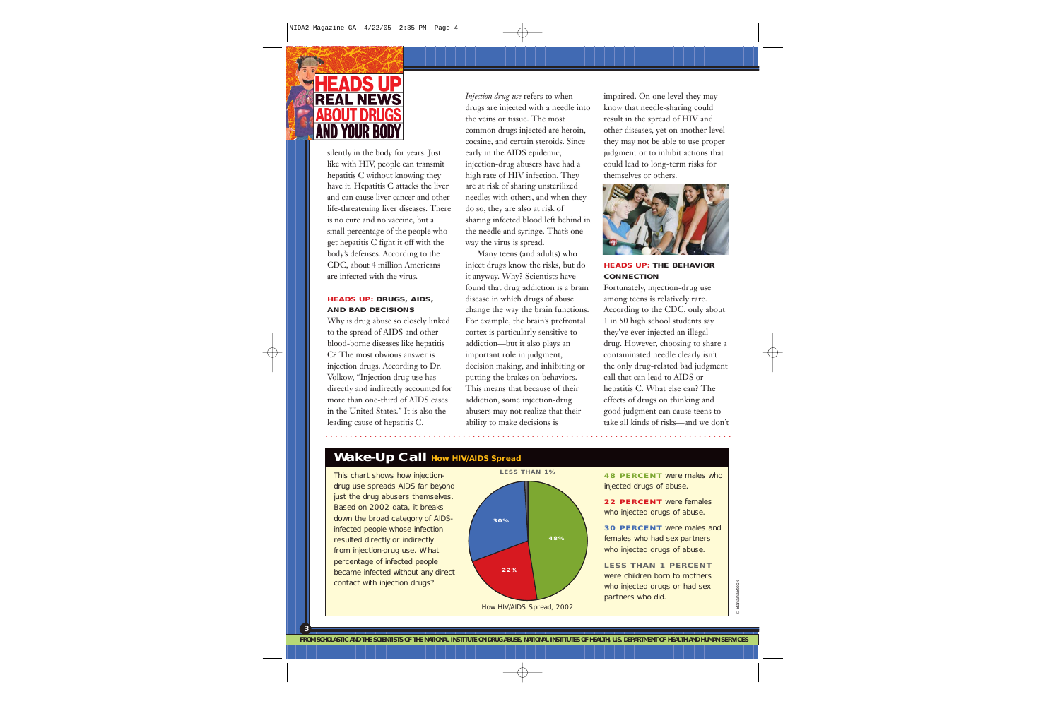

silently in the body for years. Just like with HIV, people can transmit hepatitis C without knowing they have it. Hepatitis C attacks the liver and can cause liver cancer and other life-threatening liver diseases. There is no cure and no vaccine, but a small percentage of the people who get hepatitis C fight it off with the body's defenses. According to the CDC, about 4 million Americans are infected with the virus.

#### **HEADS UP: DRUGS, AIDS, AND BAD DECISIONS**

Why is drug abuse so closely linked to the spread of AIDS and other blood-borne diseases like hepatitis C? The most obvious answer is injection drugs. According to Dr. Volkow, "Injection drug use has directly and indirectly accounted for more than one-third of AIDS cases in the United States." It is also the leading cause of hepatitis C.

*Injection drug use* refers to when drugs are injected with a needle into the veins or tissue. The most common drugs injected are heroin, cocaine, and certain steroids. Since early in the AIDS epidemic, injection-drug abusers have had a high rate of HIV infection. They are at risk of sharing unsterilized needles with others, and when they do so, they are also at risk of sharing infected blood left behind in the needle and syringe. That's one way the virus is spread.

Many teens (and adults) who inject drugs know the risks, but do it anyway. Why? Scientists have found that drug addiction is a brain disease in which drugs of abuse change the way the brain functions. For example, the brain's prefrontal cortex is particularly sensitive to addiction—but it also plays an important role in judgment, decision making, and inhibiting or putting the brakes on behaviors. This means that because of their addiction, some injection-drug abusers may not realize that their ability to make decisions is

impaired. On one level they may know that needle-sharing could result in the spread of HIV and other diseases, yet on another level they may not be able to use proper judgment or to inhibit actions that could lead to long-term risks for themselves or others.



#### **HEADS UP: THE BEHAVIOR CONNECTION**

Fortunately, injection-drug use among teens is relatively rare. According to the CDC, only about 1 in 50 high school students say they've ever injected an illegal drug. However, choosing to share a contaminated needle clearly isn't the only drug-related bad judgment call that can lead to AIDS or hepatitis C. What else can? The effects of drugs on thinking and good judgment can cause teens to take all kinds of risks—and we don't

## **Wake-Up Call How HIV/AIDS Spread**

This chart shows how injectiondrug use spreads AIDS far beyond just the drug abusers themselves. Based on 2002 data, it breaks down the broad category of AIDSinfected people whose infection resulted directly or indirectly from injection-drug use. What percentage of infected people became infected without any direct contact with injection drugs?

**3**



**48 PERCENT** were males who injected drugs of abuse.

**22 PERCENT** were females who injected drugs of abuse.

**30 PERCENT** were males and females who had sex partners who injected drugs of abuse.

**LESS THAN 1 PERCENT** were children born to mothers who injected drugs or had sex partners who did.